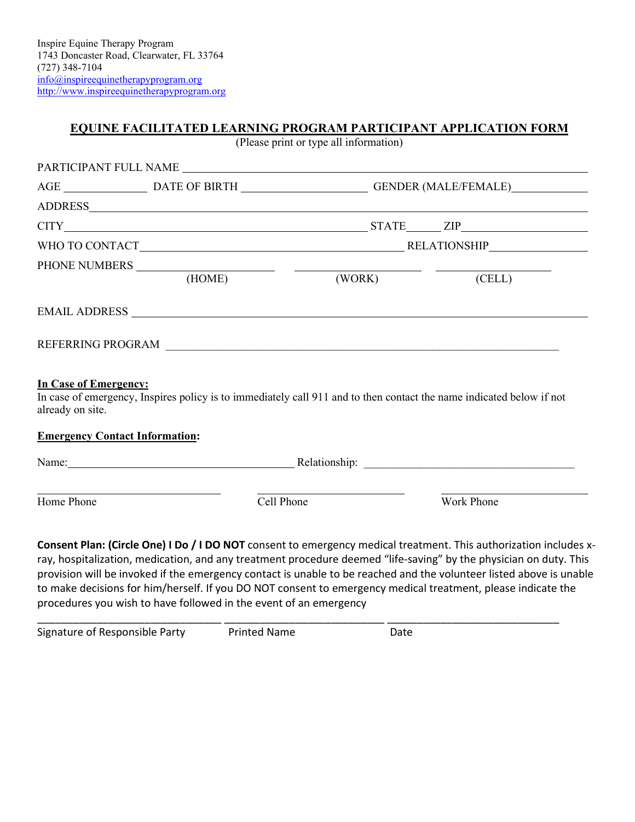## **EQUINE FACILITATED LEARNING PROGRAM PARTICIPANT APPLICATION FORM**

(Please print or type all information)

|                                                  |                                       |                      | AGE __________________________DATE OF BIRTH __________________________GENDER (MALE/FEMALE)___________________                                                                                                                  |  |
|--------------------------------------------------|---------------------------------------|----------------------|--------------------------------------------------------------------------------------------------------------------------------------------------------------------------------------------------------------------------------|--|
|                                                  |                                       |                      |                                                                                                                                                                                                                                |  |
|                                                  |                                       |                      | $CITY$ $ZIP$                                                                                                                                                                                                                   |  |
|                                                  |                                       |                      |                                                                                                                                                                                                                                |  |
|                                                  |                                       |                      |                                                                                                                                                                                                                                |  |
|                                                  |                                       | (HOME) (WORK) (CELL) |                                                                                                                                                                                                                                |  |
|                                                  |                                       |                      |                                                                                                                                                                                                                                |  |
|                                                  |                                       |                      |                                                                                                                                                                                                                                |  |
|                                                  |                                       |                      |                                                                                                                                                                                                                                |  |
|                                                  |                                       |                      | In case of emergency, Inspires policy is to immediately call 911 and to then contact the name indicated below if not                                                                                                           |  |
| <b>In Case of Emergency:</b><br>already on site. | <b>Emergency Contact Information:</b> |                      |                                                                                                                                                                                                                                |  |
|                                                  |                                       |                      | Name: Name: Name: Name: Network of the Contract of the Contract of the Relationship: Name: Name of the Contract of the Contract of the Contract of the Contract of the Contract of the Contract of the Contract of the Contrac |  |

provision will be invoked if the emergency contact is unable to be reached and the volunteer listed above is unable to make decisions for him/herself. If you DO NOT consent to emergency medical treatment, please indicate the procedures you wish to have followed in the event of an emergency

| Signature of Responsible Party | <b>Printed Name</b> | Date |
|--------------------------------|---------------------|------|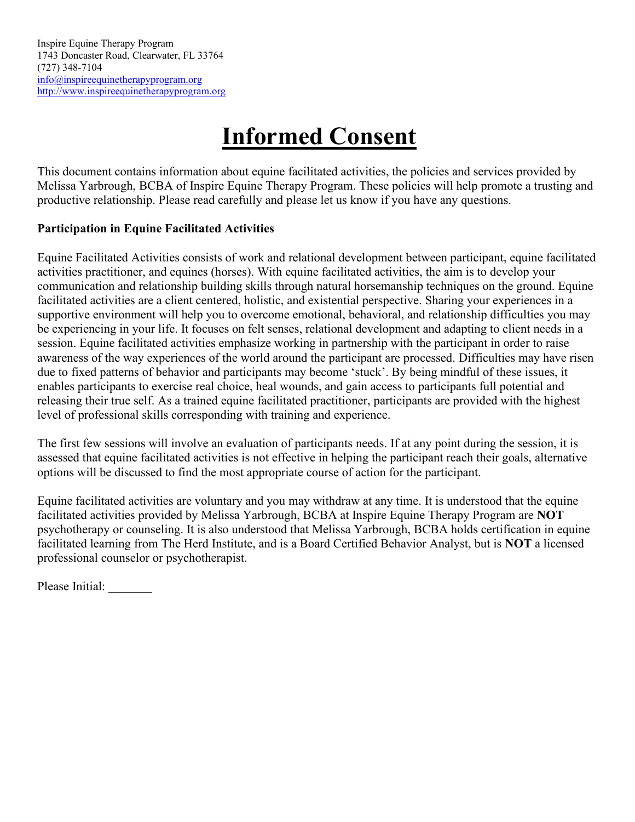# **Informed Consent**

This document contains information about equine facilitated activities, the policies and services provided by Melissa Yarbrough, BCBA of Inspire Equine Therapy Program. These policies will help promote a trusting and productive relationship. Please read carefully and please let us know if you have any questions.

## **Participation in Equine Facilitated Activities**

Equine Facilitated Activities consists of work and relational development between participant, equine facilitated activities practitioner, and equines (horses). With equine facilitated activities, the aim is to develop your communication and relationship building skills through natural horsemanship techniques on the ground. Equine facilitated activities are a client centered, holistic, and existential perspective. Sharing your experiences in a supportive environment will help you to overcome emotional, behavioral, and relationship difficulties you may be experiencing in your life. It focuses on felt senses, relational development and adapting to client needs in a session. Equine facilitated activities emphasize working in partnership with the participant in order to raise awareness of the way experiences of the world around the participant are processed. Difficulties may have risen due to fixed patterns of behavior and participants may become 'stuck'. By being mindful of these issues, it enables participants to exercise real choice, heal wounds, and gain access to participants full potential and releasing their true self. As a trained equine facilitated practitioner, participants are provided with the highest level of professional skills corresponding with training and experience.

The first few sessions will involve an evaluation of participants needs. If at any point during the session, it is assessed that equine facilitated activities is not effective in helping the participant reach their goals, alternative options will be discussed to find the most appropriate course of action for the participant.

Equine facilitated activities are voluntary and you may withdraw at any time. It is understood that the equine facilitated activities provided by Melissa Yarbrough, BCBA at Inspire Equine Therapy Program are **NOT** psychotherapy or counseling. It is also understood that Melissa Yarbrough, BCBA holds certification in equine facilitated learning from The Herd Institute, and is a Board Certified Behavior Analyst, but is **NOT** a licensed professional counselor or psychotherapist.

Please Initial: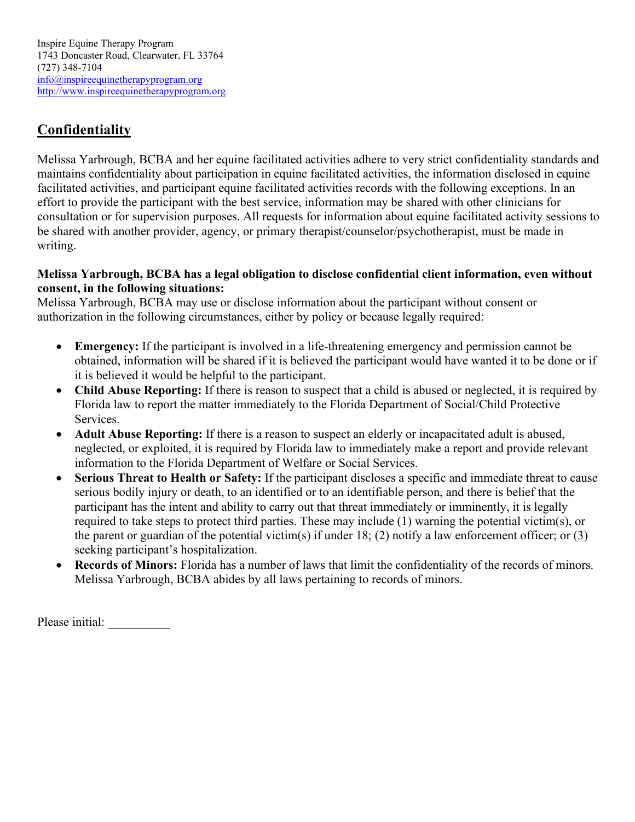# **Confidentiality**

Melissa Yarbrough, BCBA and her equine facilitated activities adhere to very strict confidentiality standards and maintains confidentiality about participation in equine facilitated activities, the information disclosed in equine facilitated activities, and participant equine facilitated activities records with the following exceptions. In an effort to provide the participant with the best service, information may be shared with other clinicians for consultation or for supervision purposes. All requests for information about equine facilitated activity sessions to be shared with another provider, agency, or primary therapist/counselor/psychotherapist, must be made in writing.

## **Melissa Yarbrough, BCBA has a legal obligation to disclose confidential client information, even without consent, in the following situations:**

Melissa Yarbrough, BCBA may use or disclose information about the participant without consent or authorization in the following circumstances, either by policy or because legally required:

- **Emergency:** If the participant is involved in a life-threatening emergency and permission cannot be obtained, information will be shared if it is believed the participant would have wanted it to be done or if it is believed it would be helpful to the participant.
- **Child Abuse Reporting:** If there is reason to suspect that a child is abused or neglected, it is required by Florida law to report the matter immediately to the Florida Department of Social/Child Protective Services.
- **Adult Abuse Reporting:** If there is a reason to suspect an elderly or incapacitated adult is abused, neglected, or exploited, it is required by Florida law to immediately make a report and provide relevant information to the Florida Department of Welfare or Social Services.
- **Serious Threat to Health or Safety:** If the participant discloses a specific and immediate threat to cause serious bodily injury or death, to an identified or to an identifiable person, and there is belief that the participant has the intent and ability to carry out that threat immediately or imminently, it is legally required to take steps to protect third parties. These may include (1) warning the potential victim(s), or the parent or guardian of the potential victim(s) if under 18; (2) notify a law enforcement officer; or (3) seeking participant's hospitalization.
- **Records of Minors:** Florida has a number of laws that limit the confidentiality of the records of minors. Melissa Yarbrough, BCBA abides by all laws pertaining to records of minors.

Please initial: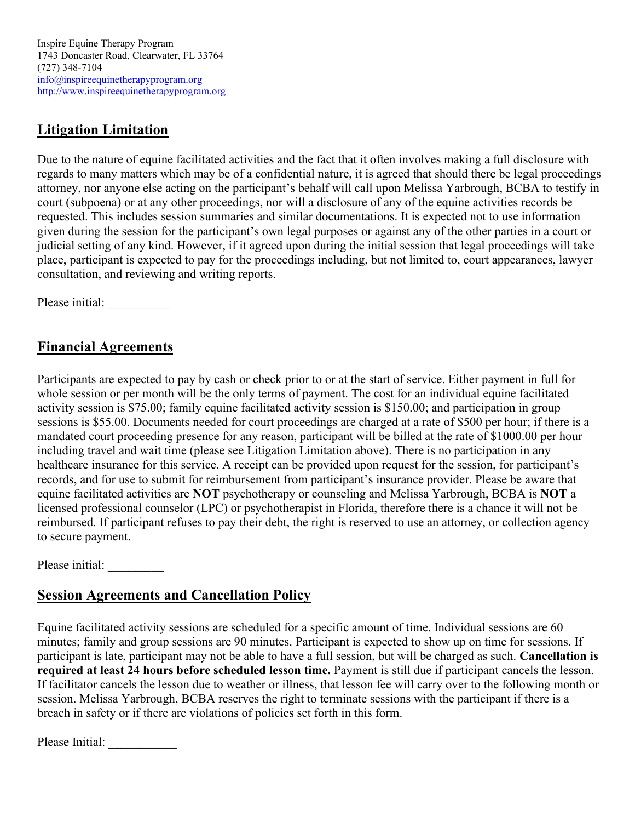Inspire Equine Therapy Program 1743 Doncaster Road, Clearwater, FL 33764 (727) 348-7104 [info@inspireequinetherapyprogram.org](mailto:inspireequinetherapy@gmail.com) [http://www.inspireequinetherapyprogram.org](http://www.inspireequinetherapyprogram.org/)

## **Litigation Limitation**

Due to the nature of equine facilitated activities and the fact that it often involves making a full disclosure with regards to many matters which may be of a confidential nature, it is agreed that should there be legal proceedings attorney, nor anyone else acting on the participant's behalf will call upon Melissa Yarbrough, BCBA to testify in court (subpoena) or at any other proceedings, nor will a disclosure of any of the equine activities records be requested. This includes session summaries and similar documentations. It is expected not to use information given during the session for the participant's own legal purposes or against any of the other parties in a court or judicial setting of any kind. However, if it agreed upon during the initial session that legal proceedings will take place, participant is expected to pay for the proceedings including, but not limited to, court appearances, lawyer consultation, and reviewing and writing reports.

Please initial:

# **Financial Agreements**

Participants are expected to pay by cash or check prior to or at the start of service. Either payment in full for whole session or per month will be the only terms of payment. The cost for an individual equine facilitated activity session is \$75.00; family equine facilitated activity session is \$150.00; and participation in group sessions is \$55.00. Documents needed for court proceedings are charged at a rate of \$500 per hour; if there is a mandated court proceeding presence for any reason, participant will be billed at the rate of \$1000.00 per hour including travel and wait time (please see Litigation Limitation above). There is no participation in any healthcare insurance for this service. A receipt can be provided upon request for the session, for participant's records, and for use to submit for reimbursement from participant's insurance provider. Please be aware that equine facilitated activities are **NOT** psychotherapy or counseling and Melissa Yarbrough, BCBA is **NOT** a licensed professional counselor (LPC) or psychotherapist in Florida, therefore there is a chance it will not be reimbursed. If participant refuses to pay their debt, the right is reserved to use an attorney, or collection agency to secure payment.

Please initial:

# **Session Agreements and Cancellation Policy**

Equine facilitated activity sessions are scheduled for a specific amount of time. Individual sessions are 60 minutes; family and group sessions are 90 minutes. Participant is expected to show up on time for sessions. If participant is late, participant may not be able to have a full session, but will be charged as such. **Cancellation is required at least 24 hours before scheduled lesson time.** Payment is still due if participant cancels the lesson. If facilitator cancels the lesson due to weather or illness, that lesson fee will carry over to the following month or session. Melissa Yarbrough, BCBA reserves the right to terminate sessions with the participant if there is a breach in safety or if there are violations of policies set forth in this form.

Please Initial: \_\_\_\_\_\_\_\_\_\_\_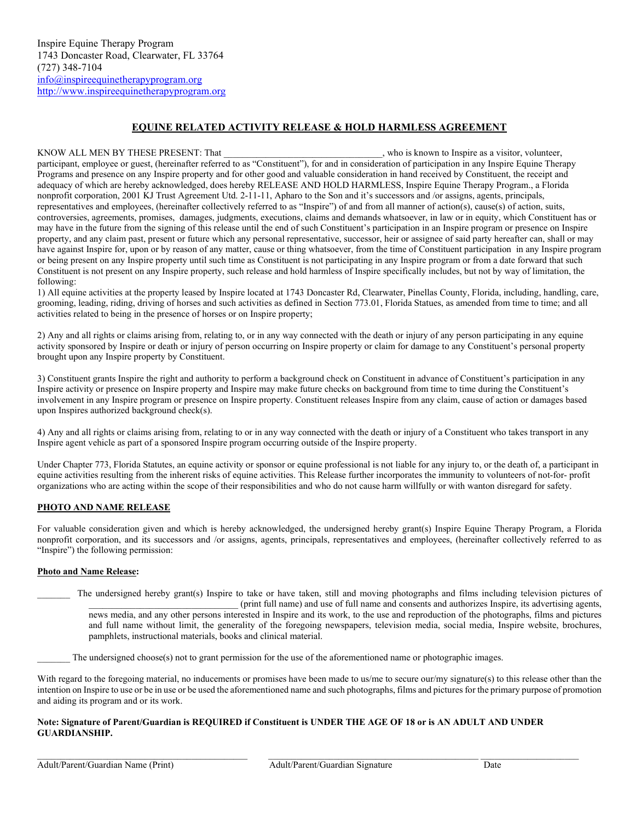#### **EQUINE RELATED ACTIVITY RELEASE & HOLD HARMLESS AGREEMENT**

KNOW ALL MEN BY THESE PRESENT: That  $\blacksquare$ , who is known to Inspire as a visitor, volunteer, participant, employee or guest, (hereinafter referred to as "Constituent"), for and in consideration of participation in any Inspire Equine Therapy Programs and presence on any Inspire property and for other good and valuable consideration in hand received by Constituent, the receipt and adequacy of which are hereby acknowledged, does hereby RELEASE AND HOLD HARMLESS, Inspire Equine Therapy Program., a Florida nonprofit corporation, 2001 KJ Trust Agreement Utd. 2-11-11, Apharo to the Son and it's successors and /or assigns, agents, principals, representatives and employees, (hereinafter collectively referred to as "Inspire") of and from all manner of action(s), cause(s) of action, suits, controversies, agreements, promises, damages, judgments, executions, claims and demands whatsoever, in law or in equity, which Constituent has or may have in the future from the signing of this release until the end of such Constituent's participation in an Inspire program or presence on Inspire property, and any claim past, present or future which any personal representative, successor, heir or assignee of said party hereafter can, shall or may have against Inspire for, upon or by reason of any matter, cause or thing whatsoever, from the time of Constituent participation in any Inspire program or being present on any Inspire property until such time as Constituent is not participating in any Inspire program or from a date forward that such Constituent is not present on any Inspire property, such release and hold harmless of Inspire specifically includes, but not by way of limitation, the following:

1) All equine activities at the property leased by Inspire located at 1743 Doncaster Rd, Clearwater, Pinellas County, Florida, including, handling, care, grooming, leading, riding, driving of horses and such activities as defined in Section 773.01, Florida Statues, as amended from time to time; and all activities related to being in the presence of horses or on Inspire property;

2) Any and all rights or claims arising from, relating to, or in any way connected with the death or injury of any person participating in any equine activity sponsored by Inspire or death or injury of person occurring on Inspire property or claim for damage to any Constituent's personal property brought upon any Inspire property by Constituent.

3) Constituent grants Inspire the right and authority to perform a background check on Constituent in advance of Constituent's participation in any Inspire activity or presence on Inspire property and Inspire may make future checks on background from time to time during the Constituent's involvement in any Inspire program or presence on Inspire property. Constituent releases Inspire from any claim, cause of action or damages based upon Inspires authorized background check(s).

4) Any and all rights or claims arising from, relating to or in any way connected with the death or injury of a Constituent who takes transport in any Inspire agent vehicle as part of a sponsored Inspire program occurring outside of the Inspire property.

Under Chapter 773, Florida Statutes, an equine activity or sponsor or equine professional is not liable for any injury to, or the death of, a participant in equine activities resulting from the inherent risks of equine activities. This Release further incorporates the immunity to volunteers of not-for- profit organizations who are acting within the scope of their responsibilities and who do not cause harm willfully or with wanton disregard for safety.

#### **PHOTO AND NAME RELEASE**

For valuable consideration given and which is hereby acknowledged, the undersigned hereby grant(s) Inspire Equine Therapy Program, a Florida nonprofit corporation, and its successors and /or assigns, agents, principals, representatives and employees, (hereinafter collectively referred to as "Inspire") the following permission:

#### **Photo and Name Release:**

The undersigned hereby grant(s) Inspire to take or have taken, still and moving photographs and films including television pictures of \_\_\_\_\_\_\_\_\_\_\_\_\_\_\_\_\_\_\_\_\_\_\_\_\_\_\_\_\_\_\_\_ (print full name) and use of full name and consents and authorizes Inspire, its advertising agents, news media, and any other persons interested in Inspire and its work, to the use and reproduction of the photographs, films and pictures and full name without limit, the generality of the foregoing newspapers, television media, social media, Inspire website, brochures, pamphlets, instructional materials, books and clinical material.

The undersigned choose(s) not to grant permission for the use of the aforementioned name or photographic images.

With regard to the foregoing material, no inducements or promises have been made to us/me to secure our/my signature(s) to this release other than the intention on Inspire to use or be in use or be used the aforementioned name and such photographs, films and pictures for the primary purpose of promotion and aiding its program and or its work.

#### **Note: Signature of Parent/Guardian is REQUIRED if Constituent is UNDER THE AGE OF 18 or is AN ADULT AND UNDER GUARDIANSHIP.**

 $\_$  ,  $\_$  ,  $\_$  ,  $\_$  ,  $\_$  ,  $\_$  ,  $\_$  ,  $\_$  ,  $\_$  ,  $\_$  ,  $\_$  ,  $\_$  ,  $\_$  ,  $\_$  ,  $\_$  ,  $\_$  ,  $\_$  ,  $\_$  ,  $\_$  ,  $\_$  ,  $\_$  ,  $\_$  ,  $\_$  ,  $\_$  ,  $\_$  ,  $\_$  ,  $\_$  ,  $\_$  ,  $\_$  ,  $\_$  ,  $\_$  ,  $\_$  ,  $\_$  ,  $\_$  ,  $\_$  ,  $\_$  ,  $\_$  ,